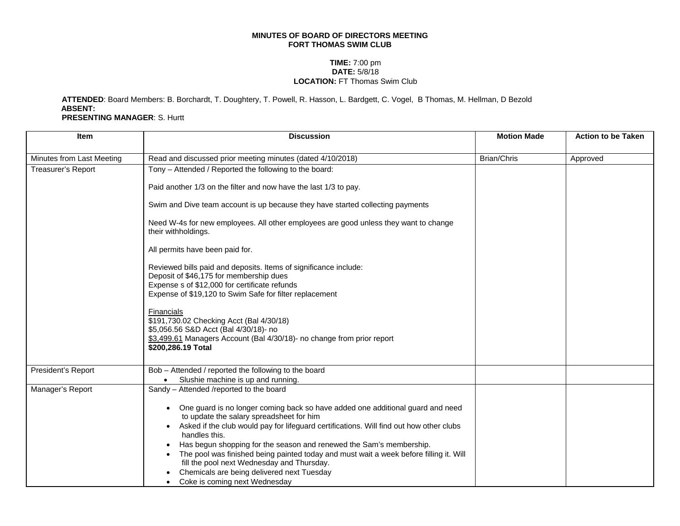## **MINUTES OF BOARD OF DIRECTORS MEETING FORT THOMAS SWIM CLUB**

## **TIME:** 7:00 pm **DATE:** 5/8/18 **LOCATION:** FT Thomas Swim Club

## **ATTENDED**: Board Members: B. Borchardt, T. Doughtery, T. Powell, R. Hasson, L. Bardgett, C. Vogel, B Thomas, M. Hellman, D Bezold **ABSENT: PRESENTING MANAGER**: S. Hurtt

| <b>Item</b>               | <b>Discussion</b>                                                                                                                                                                                                                                                                                                                                                                                                                                                                                                                                                                          | <b>Motion Made</b> | <b>Action to be Taken</b> |
|---------------------------|--------------------------------------------------------------------------------------------------------------------------------------------------------------------------------------------------------------------------------------------------------------------------------------------------------------------------------------------------------------------------------------------------------------------------------------------------------------------------------------------------------------------------------------------------------------------------------------------|--------------------|---------------------------|
| Minutes from Last Meeting | Read and discussed prior meeting minutes (dated 4/10/2018)                                                                                                                                                                                                                                                                                                                                                                                                                                                                                                                                 | <b>Brian/Chris</b> | Approved                  |
|                           |                                                                                                                                                                                                                                                                                                                                                                                                                                                                                                                                                                                            |                    |                           |
| Treasurer's Report        | Tony - Attended / Reported the following to the board:                                                                                                                                                                                                                                                                                                                                                                                                                                                                                                                                     |                    |                           |
|                           | Paid another 1/3 on the filter and now have the last 1/3 to pay.                                                                                                                                                                                                                                                                                                                                                                                                                                                                                                                           |                    |                           |
|                           | Swim and Dive team account is up because they have started collecting payments                                                                                                                                                                                                                                                                                                                                                                                                                                                                                                             |                    |                           |
|                           | Need W-4s for new employees. All other employees are good unless they want to change<br>their withholdings.                                                                                                                                                                                                                                                                                                                                                                                                                                                                                |                    |                           |
|                           | All permits have been paid for.                                                                                                                                                                                                                                                                                                                                                                                                                                                                                                                                                            |                    |                           |
|                           | Reviewed bills paid and deposits. Items of significance include:<br>Deposit of \$46,175 for membership dues<br>Expense s of \$12,000 for certificate refunds<br>Expense of \$19,120 to Swim Safe for filter replacement                                                                                                                                                                                                                                                                                                                                                                    |                    |                           |
|                           | Financials<br>\$191,730.02 Checking Acct (Bal 4/30/18)<br>\$5,056.56 S&D Acct (Bal 4/30/18)- no<br>\$3,499.61 Managers Account (Bal 4/30/18)- no change from prior report<br>\$200,286.19 Total                                                                                                                                                                                                                                                                                                                                                                                            |                    |                           |
| President's Report        | Bob - Attended / reported the following to the board<br>Slushie machine is up and running.<br>$\bullet$                                                                                                                                                                                                                                                                                                                                                                                                                                                                                    |                    |                           |
| Manager's Report          | Sandy - Attended /reported to the board                                                                                                                                                                                                                                                                                                                                                                                                                                                                                                                                                    |                    |                           |
|                           | • One guard is no longer coming back so have added one additional guard and need<br>to update the salary spreadsheet for him<br>Asked if the club would pay for lifeguard certifications. Will find out how other clubs<br>$\bullet$<br>handles this.<br>Has begun shopping for the season and renewed the Sam's membership.<br>$\bullet$<br>The pool was finished being painted today and must wait a week before filling it. Will<br>$\bullet$<br>fill the pool next Wednesday and Thursday.<br>Chemicals are being delivered next Tuesday<br>Coke is coming next Wednesday<br>$\bullet$ |                    |                           |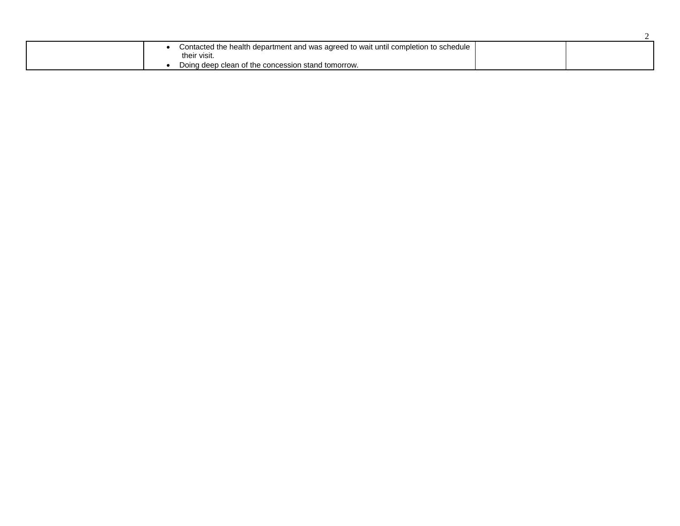| Contacted the health department and was agreed to wait until completion to schedule |  |
|-------------------------------------------------------------------------------------|--|
| their visit.                                                                        |  |
| Doing deep clean of the concession stand tomorrow.                                  |  |